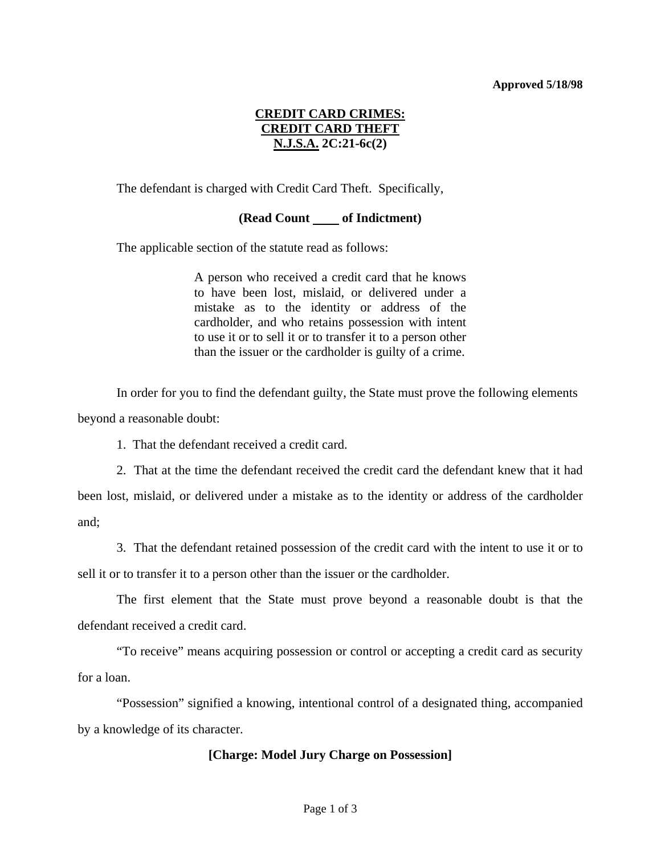#### **Approved 5/18/98**

# **CREDIT CARD CRIMES: CREDIT CARD THEFT N.J.S.A. 2C:21-6c(2)**

The defendant is charged with Credit Card Theft. Specifically,

## **(Read Count of Indictment)**

The applicable section of the statute read as follows:

A person who received a credit card that he knows to have been lost, mislaid, or delivered under a mistake as to the identity or address of the cardholder, and who retains possession with intent to use it or to sell it or to transfer it to a person other than the issuer or the cardholder is guilty of a crime.

 In order for you to find the defendant guilty, the State must prove the following elements beyond a reasonable doubt:

1. That the defendant received a credit card.

 2. That at the time the defendant received the credit card the defendant knew that it had been lost, mislaid, or delivered under a mistake as to the identity or address of the cardholder and;

 3. That the defendant retained possession of the credit card with the intent to use it or to sell it or to transfer it to a person other than the issuer or the cardholder.

 The first element that the State must prove beyond a reasonable doubt is that the defendant received a credit card.

 "To receive" means acquiring possession or control or accepting a credit card as security for a loan.

 "Possession" signified a knowing, intentional control of a designated thing, accompanied by a knowledge of its character.

## **[Charge: Model Jury Charge on Possession]**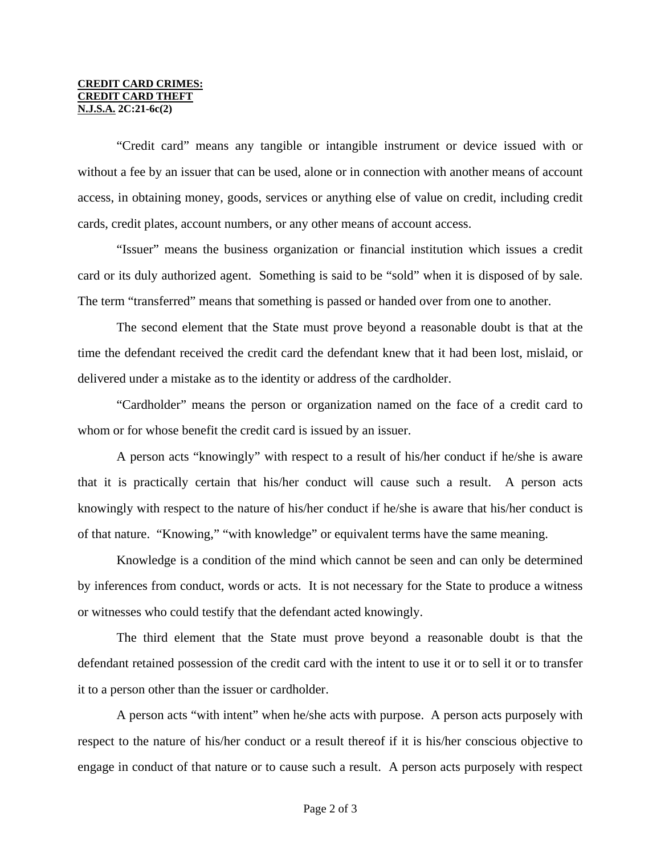#### **CREDIT CARD CRIMES: CREDIT CARD THEFT N.J.S.A. 2C:21-6c(2)**

 "Credit card" means any tangible or intangible instrument or device issued with or without a fee by an issuer that can be used, alone or in connection with another means of account access, in obtaining money, goods, services or anything else of value on credit, including credit cards, credit plates, account numbers, or any other means of account access.

 "Issuer" means the business organization or financial institution which issues a credit card or its duly authorized agent. Something is said to be "sold" when it is disposed of by sale. The term "transferred" means that something is passed or handed over from one to another.

 The second element that the State must prove beyond a reasonable doubt is that at the time the defendant received the credit card the defendant knew that it had been lost, mislaid, or delivered under a mistake as to the identity or address of the cardholder.

 "Cardholder" means the person or organization named on the face of a credit card to whom or for whose benefit the credit card is issued by an issuer.

 A person acts "knowingly" with respect to a result of his/her conduct if he/she is aware that it is practically certain that his/her conduct will cause such a result. A person acts knowingly with respect to the nature of his/her conduct if he/she is aware that his/her conduct is of that nature. "Knowing," "with knowledge" or equivalent terms have the same meaning.

 Knowledge is a condition of the mind which cannot be seen and can only be determined by inferences from conduct, words or acts. It is not necessary for the State to produce a witness or witnesses who could testify that the defendant acted knowingly.

 The third element that the State must prove beyond a reasonable doubt is that the defendant retained possession of the credit card with the intent to use it or to sell it or to transfer it to a person other than the issuer or cardholder.

 A person acts "with intent" when he/she acts with purpose. A person acts purposely with respect to the nature of his/her conduct or a result thereof if it is his/her conscious objective to engage in conduct of that nature or to cause such a result. A person acts purposely with respect